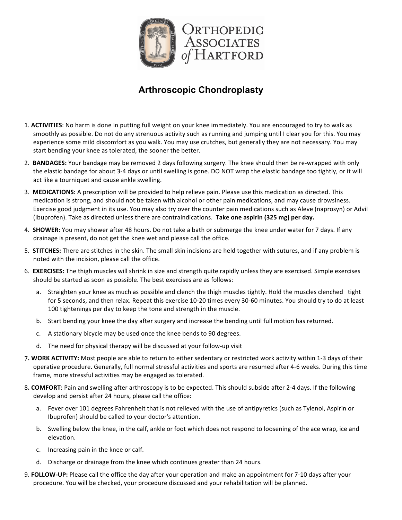

## **Arthroscopic Chondroplasty**

- 1. ACTIVITIES: No harm is done in putting full weight on your knee immediately. You are encouraged to try to walk as smoothly as possible. Do not do any strenuous activity such as running and jumping until I clear you for this. You may experience some mild discomfort as you walk. You may use crutches, but generally they are not necessary. You may start bending your knee as tolerated, the sooner the better.
- 2. **BANDAGES:** Your bandage may be removed 2 days following surgery. The knee should then be re-wrapped with only the elastic bandage for about 3-4 days or until swelling is gone. DO NOT wrap the elastic bandage too tightly, or it will act like a tourniquet and cause ankle swelling.
- 3. **MEDICATIONS:** A prescription will be provided to help relieve pain. Please use this medication as directed. This medication is strong, and should not be taken with alcohol or other pain medications, and may cause drowsiness. Exercise good judgment in its use. You may also try over the counter pain medications such as Aleve (naprosyn) or Advil (Ibuprofen). Take as directed unless there are contraindications. Take one aspirin (325 mg) per day.
- 4. SHOWER: You may shower after 48 hours. Do not take a bath or submerge the knee under water for 7 days. If any drainage is present, do not get the knee wet and please call the office.
- 5. **STITCHES:** There are stitches in the skin. The small skin incisions are held together with sutures, and if any problem is noted with the incision, please call the office.
- 6. **EXERCISES:** The thigh muscles will shrink in size and strength quite rapidly unless they are exercised. Simple exercises should be started as soon as possible. The best exercises are as follows:
	- a. Straighten your knee as much as possible and clench the thigh muscles tightly. Hold the muscles clenched tight for 5 seconds, and then relax. Repeat this exercise 10-20 times every 30-60 minutes. You should try to do at least 100 tightenings per day to keep the tone and strength in the muscle.
	- b. Start bending your knee the day after surgery and increase the bending until full motion has returned.
	- c. A stationary bicycle may be used once the knee bends to 90 degrees.
	- d. The need for physical therapy will be discussed at your follow-up visit
- 7. WORK ACTIVITY: Most people are able to return to either sedentary or restricted work activity within 1-3 days of their operative procedure. Generally, full normal stressful activities and sports are resumed after 4-6 weeks. During this time frame, more stressful activities may be engaged as tolerated.
- 8. **COMFORT**: Pain and swelling after arthroscopy is to be expected. This should subside after 2-4 days. If the following develop and persist after 24 hours, please call the office:
	- a. Fever over 101 degrees Fahrenheit that is not relieved with the use of antipyretics (such as Tylenol, Aspirin or Ibuprofen) should be called to your doctor's attention.
	- b. Swelling below the knee, in the calf, ankle or foot which does not respond to loosening of the ace wrap, ice and elevation.
	- c. Increasing pain in the knee or calf.
	- d. Discharge or drainage from the knee which continues greater than 24 hours.
- 9. **FOLLOW-UP:** Please call the office the day after your operation and make an appointment for 7-10 days after your procedure. You will be checked, your procedure discussed and your rehabilitation will be planned.